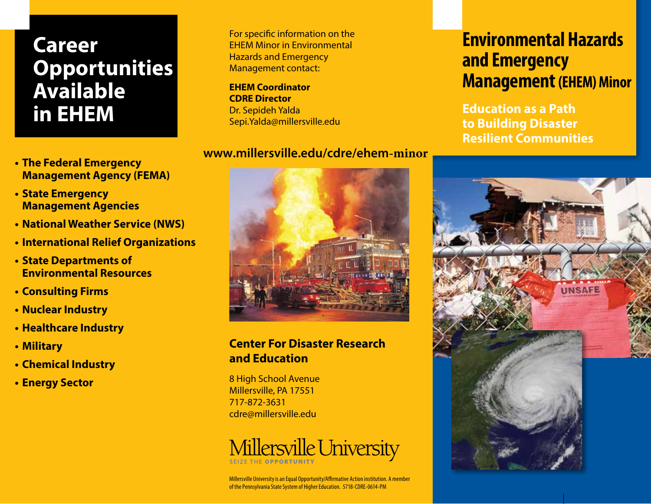# **Career Opportunities Available in EHEM**

- **The Federal Emergency Management Agency (FEMA)**
- **State Emergency Management Agencies**
- **National Weather Service (NWS)**
- **International Relief Organizations**
- **State Departments of Environmental Resources**
- **Consulting Firms**
- **Nuclear Industry**
- **Healthcare Industry**
- **Military**
- **Chemical Industry**
- **Energy Sector**

For specific information on the EHEM Minor in Environmental Hazards and Emergency Management contact:

**EHEM Coordinator CDRE Director** Dr. Sepideh Yalda Sepi.Yalda@millersville.edu

### **www.millersville.edu/cdre/ehem-minor**

## **Center For Disaster Research and Education**

8 High School Avenue Millersville, PA 17551 717-872-3631 cdre@millersville.edu



Millersville University is an Equal Opportunity/Affirmative Action institution. A member of the Pennsylvania State System of Higher Education. 5718-CDRE-0614-PM

## **Environmental Hazards and Emergency Management (EHEM) Minor**

**Education as a Path to Building Disaster Resilient Communities**